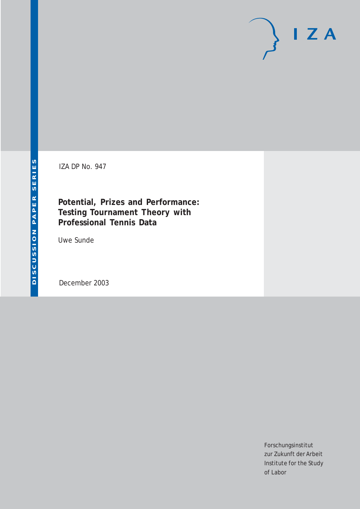# $I Z A$

IZA DP No. 947

**Potential, Prizes and Performance: Testing Tournament Theory with Professional Tennis Data**

Uwe Sunde

December 2003

Forschungsinstitut zur Zukunft der Arbeit Institute for the Study of Labor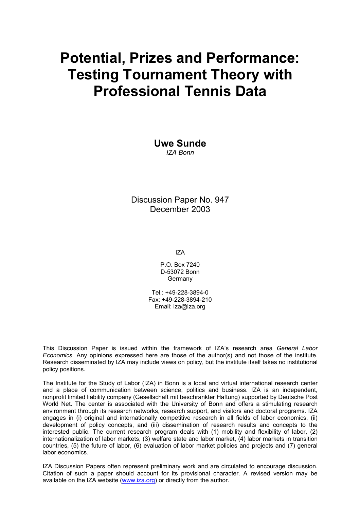# **Potential, Prizes and Performance: Testing Tournament Theory with Professional Tennis Data**

**Uwe Sunde**  *IZA Bonn* 

Discussion Paper No. 947 December 2003

IZA

P.O. Box 7240 D-53072 Bonn Germany

 $Tel + 49-228-3894-0$ Fax: +49-228-3894-210 Email: [iza@iza.org](mailto:iza@iza.org)

This Discussion Paper is issued within the framework of IZA's research area *General Labor Economics.* Any opinions expressed here are those of the author(s) and not those of the institute. Research disseminated by IZA may include views on policy, but the institute itself takes no institutional policy positions.

The Institute for the Study of Labor (IZA) in Bonn is a local and virtual international research center and a place of communication between science, politics and business. IZA is an independent, nonprofit limited liability company (Gesellschaft mit beschränkter Haftung) supported by Deutsche Post World Net. The center is associated with the University of Bonn and offers a stimulating research environment through its research networks, research support, and visitors and doctoral programs. IZA engages in (i) original and internationally competitive research in all fields of labor economics, (ii) development of policy concepts, and (iii) dissemination of research results and concepts to the interested public. The current research program deals with (1) mobility and flexibility of labor, (2) internationalization of labor markets, (3) welfare state and labor market, (4) labor markets in transition countries, (5) the future of labor, (6) evaluation of labor market policies and projects and (7) general labor economics.

IZA Discussion Papers often represent preliminary work and are circulated to encourage discussion. Citation of such a paper should account for its provisional character. A revised version may be available on the IZA website ([www.iza.org](http://www.iza.org/)) or directly from the author.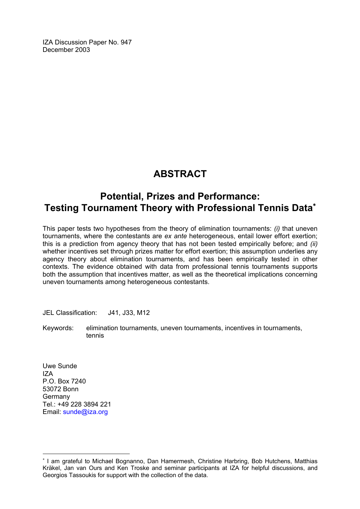IZA Discussion Paper No. 947 December 2003

## **ABSTRACT**

## **Potential, Prizes and Performance: Testing Tournament Theory with Professional Tennis Data**[∗](#page-2-0)

This paper tests two hypotheses from the theory of elimination tournaments: *(i)* that uneven tournaments, where the contestants are *ex ante* heterogeneous, entail lower effort exertion; this is a prediction from agency theory that has not been tested empirically before; and *(ii)* whether incentives set through prizes matter for effort exertion; this assumption underlies any agency theory about elimination tournaments, and has been empirically tested in other contexts. The evidence obtained with data from professional tennis tournaments supports both the assumption that incentives matter, as well as the theoretical implications concerning uneven tournaments among heterogeneous contestants.

JEL Classification: J41, J33, M12

Keywords: elimination tournaments, uneven tournaments, incentives in tournaments, tennis

Uwe Sunde IZA P.O. Box 7240 53072 Bonn Germany Tel.: +49 228 3894 221 Email: [sunde@iza.org](mailto:sunde@iza.org)

 $\overline{a}$ 

<span id="page-2-0"></span><sup>∗</sup> I am grateful to Michael Bognanno, Dan Hamermesh, Christine Harbring, Bob Hutchens, Matthias Kräkel, Jan van Ours and Ken Troske and seminar participants at IZA for helpful discussions, and Georgios Tassoukis for support with the collection of the data.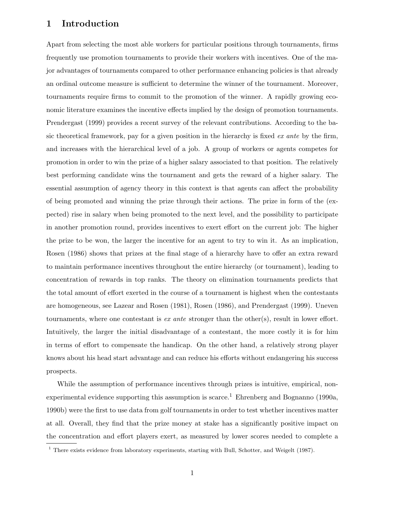#### **1 Introduction**

Apart from selecting the most able workers for particular positions through tournaments, firms frequently use promotion tournaments to provide their workers with incentives. One of the major advantages of tournaments compared to other performance enhancing policies is that already an ordinal outcome measure is sufficient to determine the winner of the tournament. Moreover, tournaments require firms to commit to the promotion of the winner. A rapidly growing economic literature examines the incentive effects implied by the design of promotion tournaments. Prendergast (1999) provides a recent survey of the relevant contributions. According to the basic theoretical framework, pay for a given position in the hierarchy is fixed *ex ante* by the firm, and increases with the hierarchical level of a job. A group of workers or agents competes for promotion in order to win the prize of a higher salary associated to that position. The relatively best performing candidate wins the tournament and gets the reward of a higher salary. The essential assumption of agency theory in this context is that agents can affect the probability of being promoted and winning the prize through their actions. The prize in form of the (expected) rise in salary when being promoted to the next level, and the possibility to participate in another promotion round, provides incentives to exert effort on the current job: The higher the prize to be won, the larger the incentive for an agent to try to win it. As an implication, Rosen (1986) shows that prizes at the final stage of a hierarchy have to offer an extra reward to maintain performance incentives throughout the entire hierarchy (or tournament), leading to concentration of rewards in top ranks. The theory on elimination tournaments predicts that the total amount of effort exerted in the course of a tournament is highest when the contestants are homogeneous, see Lazear and Rosen (1981), Rosen (1986), and Prendergast (1999). Uneven tournaments, where one contestant is *ex ante* stronger than the other(s), result in lower effort. Intuitively, the larger the initial disadvantage of a contestant, the more costly it is for him in terms of effort to compensate the handicap. On the other hand, a relatively strong player knows about his head start advantage and can reduce his efforts without endangering his success prospects.

While the assumption of performance incentives through prizes is intuitive, empirical, nonexperimental evidence supporting this assumption is scarce.<sup>1</sup> Ehrenberg and Bognanno (1990a, 1990b) were the first to use data from golf tournaments in order to test whether incentives matter at all. Overall, they find that the prize money at stake has a significantly positive impact on the concentration and effort players exert, as measured by lower scores needed to complete a

<sup>&</sup>lt;sup>1</sup> There exists evidence from laboratory experiments, starting with Bull, Schotter, and Weigelt (1987).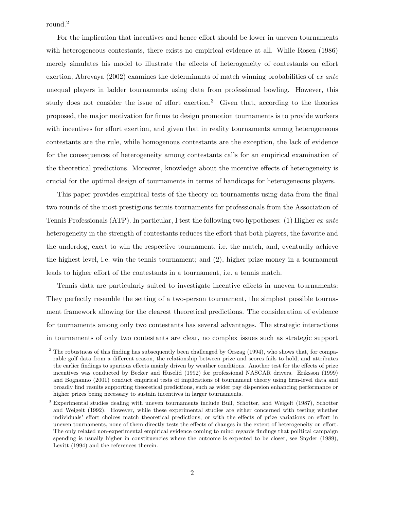round.<sup>2</sup>

For the implication that incentives and hence effort should be lower in uneven tournaments with heterogeneous contestants, there exists no empirical evidence at all. While Rosen (1986) merely simulates his model to illustrate the effects of heterogeneity of contestants on effort exertion, Abrevaya (2002) examines the determinants of match winning probabilities of *ex ante* unequal players in ladder tournaments using data from professional bowling. However, this study does not consider the issue of effort exertion.<sup>3</sup> Given that, according to the theories proposed, the major motivation for firms to design promotion tournaments is to provide workers with incentives for effort exertion, and given that in reality tournaments among heterogeneous contestants are the rule, while homogenous contestants are the exception, the lack of evidence for the consequences of heterogeneity among contestants calls for an empirical examination of the theoretical predictions. Moreover, knowledge about the incentive effects of heterogeneity is crucial for the optimal design of tournaments in terms of handicaps for heterogeneous players.

This paper provides empirical tests of the theory on tournaments using data from the final two rounds of the most prestigious tennis tournaments for professionals from the Association of Tennis Professionals (ATP). In particular, I test the following two hypotheses: (1) Higher *ex ante* heterogeneity in the strength of contestants reduces the effort that both players, the favorite and the underdog, exert to win the respective tournament, i.e. the match, and, eventually achieve the highest level, i.e. win the tennis tournament; and (2), higher prize money in a tournament leads to higher effort of the contestants in a tournament, i.e. a tennis match.

Tennis data are particularly suited to investigate incentive effects in uneven tournaments: They perfectly resemble the setting of a two-person tournament, the simplest possible tournament framework allowing for the clearest theoretical predictions. The consideration of evidence for tournaments among only two contestants has several advantages. The strategic interactions in tournaments of only two contestants are clear, no complex issues such as strategic support

<sup>&</sup>lt;sup>2</sup> The robustness of this finding has subsequently been challenged by Orszag (1994), who shows that, for comparable golf data from a different season, the relationship between prize and scores fails to hold, and attributes the earlier findings to spurious effects mainly driven by weather conditions. Another test for the effects of prize incentives was conducted by Becker and Huselid (1992) for professional NASCAR drivers. Eriksson (1999) and Bognanno (2001) conduct empirical tests of implications of tournament theory using firm-level data and broadly find results supporting theoretical predictions, such as wider pay dispersion enhancing performance or higher prizes being necessary to sustain incentives in larger tournaments.

<sup>&</sup>lt;sup>3</sup> Experimental studies dealing with uneven tournaments include Bull, Schotter, and Weigelt (1987), Schotter and Weigelt (1992). However, while these experimental studies are either concerned with testing whether individuals' effort choices match theoretical predictions, or with the effects of prize variations on effort in uneven tournaments, none of them directly tests the effects of changes in the extent of heterogeneity on effort. The only related non-experimental empirical evidence coming to mind regards findings that political campaign spending is usually higher in constituencies where the outcome is expected to be closer, see Snyder (1989), Levitt (1994) and the references therein.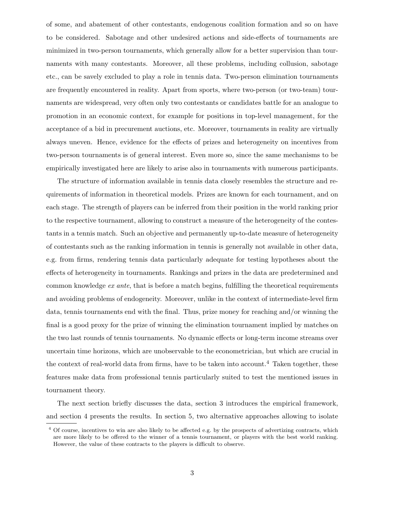of some, and abatement of other contestants, endogenous coalition formation and so on have to be considered. Sabotage and other undesired actions and side-effects of tournaments are minimized in two-person tournaments, which generally allow for a better supervision than tournaments with many contestants. Moreover, all these problems, including collusion, sabotage etc., can be savely excluded to play a role in tennis data. Two-person elimination tournaments are frequently encountered in reality. Apart from sports, where two-person (or two-team) tournaments are widespread, very often only two contestants or candidates battle for an analogue to promotion in an economic context, for example for positions in top-level management, for the acceptance of a bid in precurement auctions, etc. Moreover, tournaments in reality are virtually always uneven. Hence, evidence for the effects of prizes and heterogeneity on incentives from two-person tournaments is of general interest. Even more so, since the same mechanisms to be empirically investigated here are likely to arise also in tournaments with numerous participants.

The structure of information available in tennis data closely resembles the structure and requirements of information in theoretical models. Prizes are known for each tournament, and on each stage. The strength of players can be inferred from their position in the world ranking prior to the respective tournament, allowing to construct a measure of the heterogeneity of the contestants in a tennis match. Such an objective and permanently up-to-date measure of heterogeneity of contestants such as the ranking information in tennis is generally not available in other data, e.g. from firms, rendering tennis data particularly adequate for testing hypotheses about the effects of heterogeneity in tournaments. Rankings and prizes in the data are predetermined and common knowledge *ex ante*, that is before a match begins, fulfilling the theoretical requirements and avoiding problems of endogeneity. Moreover, unlike in the context of intermediate-level firm data, tennis tournaments end with the final. Thus, prize money for reaching and/or winning the final is a good proxy for the prize of winning the elimination tournament implied by matches on the two last rounds of tennis tournaments. No dynamic effects or long-term income streams over uncertain time horizons, which are unobservable to the econometrician, but which are crucial in the context of real-world data from firms, have to be taken into account.<sup>4</sup> Taken together, these features make data from professional tennis particularly suited to test the mentioned issues in tournament theory.

The next section briefly discusses the data, section 3 introduces the empirical framework, and section 4 presents the results. In section 5, two alternative approaches allowing to isolate

<sup>&</sup>lt;sup>4</sup> Of course, incentives to win are also likely to be affected e.g. by the prospects of advertizing contracts, which are more likely to be offered to the winner of a tennis tournament, or players with the best world ranking. However, the value of these contracts to the players is difficult to observe.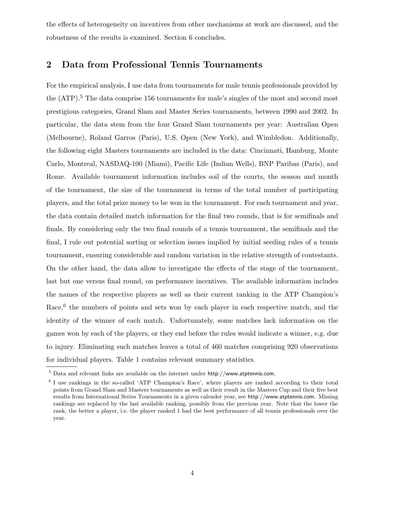the effects of heterogeneity on incentives from other mechanisms at work are discussed, and the robustness of the results is examined. Section 6 concludes.

#### **2 Data from Professional Tennis Tournaments**

For the empirical analysis, I use data from tournaments for male tennis professionals provided by the (ATP).<sup>5</sup> The data comprise 156 tournaments for male's singles of the most and second most prestigious categories, Grand Slam and Master Series tournaments, between 1990 and 2002. In particular, the data stem from the four Grand Slam tournaments per year: Australian Open (Melbourne), Roland Garros (Paris), U.S. Open (New York), and Wimbledon. Additionally, the following eight Masters tournaments are included in the data: Cincinnati, Hamburg, Monte Carlo, Montreal, NASDAQ-100 (Miami), Pacific Life (Indian Wells), BNP Paribas (Paris), and Rome. Available tournament information includes soil of the courts, the season and month of the tournament, the size of the tournament in terms of the total number of participating players, and the total prize money to be won in the tournament. For each tournament and year, the data contain detailed match information for the final two rounds, that is for semifinals and finals. By considering only the two final rounds of a tennis tournament, the semifinals and the final, I rule out potential sorting or selection issues implied by initial seeding rules of a tennis tournament, ensuring considerable and random variation in the relative strength of contestants. On the other hand, the data allow to investigate the effects of the stage of the tournament, last but one versus final round, on performance incentives. The available information includes the names of the respective players as well as their current ranking in the ATP Champion's Race,<sup>6</sup> the numbers of points and sets won by each player in each respective match, and the identity of the winner of each match. Unfortunately, some matches lack information on the games won by each of the players, or they end before the rules would indicate a winner, e.g. due to injury. Eliminating such matches leaves a total of 460 matches comprising 920 observations for individual players. Table 1 contains relevant summary statistics.

<sup>5</sup> Data and relevant links are available on the internet under http://www.atptennis.com.

<sup>6</sup> I use rankings in the so-called 'ATP Champion's Race', where players are ranked according to their total points from Grand Slam and Masters tournaments as well as their result in the Masters Cup and their five best results from International Series Tournaments in a given calender year, see http://www.atptennis.com. Missing rankings are replaced by the last available ranking, possibly from the previous year. Note that the lower the rank, the better a player, i.e. the player ranked 1 had the best performance of all tennis professionals over the year.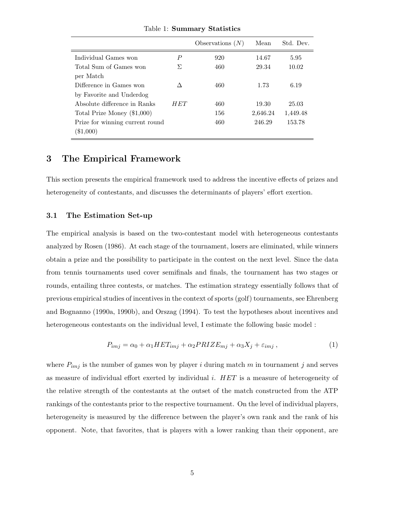|                                 |      | Observations $(N)$ | Mean     | Std. Dev. |
|---------------------------------|------|--------------------|----------|-----------|
| Individual Games won            | P    | 920                | 14.67    | 5.95      |
| Total Sum of Games won          | Я    | 460                | 29.34    | 10.02     |
| per Match                       |      |                    |          |           |
| Difference in Games won         |      | 460                | 1.73     | 6.19      |
| by Favorite and Underdog        |      |                    |          |           |
| Absolute difference in Ranks    | H ET | 460                | 19.30    | 25.03     |
| Total Prize Money (\$1,000)     |      | 156                | 2,646.24 | 1,449.48  |
| Prize for winning current round |      | 460                | 246.29   | 153.78    |
| $(\$1,000)$                     |      |                    |          |           |

Table 1: **Summary Statistics**

#### **3 The Empirical Framework**

This section presents the empirical framework used to address the incentive effects of prizes and heterogeneity of contestants, and discusses the determinants of players' effort exertion.

#### **3.1 The Estimation Set-up**

The empirical analysis is based on the two-contestant model with heterogeneous contestants analyzed by Rosen (1986). At each stage of the tournament, losers are eliminated, while winners obtain a prize and the possibility to participate in the contest on the next level. Since the data from tennis tournaments used cover semifinals and finals, the tournament has two stages or rounds, entailing three contests, or matches. The estimation strategy essentially follows that of previous empirical studies of incentives in the context of sports (golf) tournaments, see Ehrenberg and Bognanno (1990a, 1990b), and Orszag (1994). To test the hypotheses about incentives and heterogeneous contestants on the individual level, I estimate the following basic model :

$$
P_{imj} = \alpha_0 + \alpha_1 HET_{imj} + \alpha_2 PRIZE_{mj} + \alpha_3 X_j + \varepsilon_{imj} , \qquad (1)
$$

where  $P_{imj}$  is the number of games won by player i during match m in tournament j and serves as measure of individual effort exerted by individual i.  $HET$  is a measure of heterogeneity of the relative strength of the contestants at the outset of the match constructed from the ATP rankings of the contestants prior to the respective tournament. On the level of individual players, heterogeneity is measured by the difference between the player's own rank and the rank of his opponent. Note, that favorites, that is players with a lower ranking than their opponent, are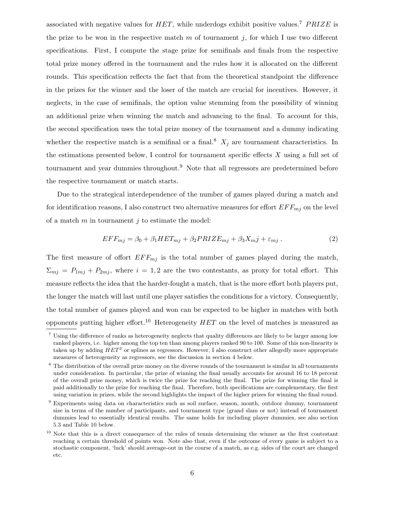associated with negative values for  $HET$ , while underdogs exhibit positive values.<sup>7</sup> PRIZE is the prize to be won in the respective match  $m$  of tournament  $j$ , for which I use two different specifications. First, I compute the stage prize for semifinals and finals from the respective total prize money offered in the tournament and the rules how it is allocated on the different rounds. This specification reflects the fact that from the theoretical standpoint the difference in the prizes for the winner and the loser of the match are crucial for incentives. However, it neglects, in the case of semifinals, the option value stemming from the possibility of winning an additional prize when winning the match and advancing to the final. To account for this, the second specification uses the total prize money of the tournament and a dummy indicating whether the respective match is a semifinal or a final.<sup>8</sup>  $X_j$  are tournament characteristics. In the estimations presented below, I control for tournament specific effects  $X$  using a full set of tournament and year dummies throughout.<sup>9</sup> Note that all regressors are predetermined before the respective tournament or match starts.

Due to the strategical interdependence of the number of games played during a match and for identification reasons, I also construct two alternative measures for effort  $EFF_{mj}$  on the level of a match  $m$  in tournament  $j$  to estimate the model:

$$
EFF_{mj} = \beta_0 + \beta_1 HET_{mj} + \beta_2 PRIZE_{mj} + \beta_3 X_{mj} + \varepsilon_{mj} . \tag{2}
$$

The first measure of offort  $EFF_{mj}$  is the total number of games played during the match,  $\Sigma_{mj} = P_{1mj} + P_{2mj}$ , where  $i = 1, 2$  are the two contestants, as proxy for total effort. This measure reflects the idea that the harder-fought a match, that is the more effort both players put, the longer the match will last until one player satisfies the conditions for a victory. Consequently, the total number of games played and won can be expected to be higher in matches with both opponents putting higher effort.<sup>10</sup> Heterogeneity  $HET$  on the level of matches is measured as

<sup>7</sup> Using the difference of ranks as heterogeneity neglects that quality differences are likely to be larger among low ranked players, i.e. higher among the top ten than among players ranked 90 to 100. Some of this non-linearity is taken up by adding  $HET^2$  or splines as regressors. However, I also construct other allegedly more appropriate measures of heterogeneity as regressors, see the discussion in section 4 below.

<sup>&</sup>lt;sup>8</sup> The distribution of the overall prize money on the diverse rounds of the tournament is similar in all tournaments under consideration. In particular, the prize of winning the final usually accounts for around 16 to 18 percent of the overall prize money, which is twice the prize for reaching the final. The prize for winning the final is paid additionally to the prize for reaching the final. Therefore, both specifications are complementary, the first using variation in prizes, while the second highlights the impact of the higher prizes for winning the final round.

<sup>&</sup>lt;sup>9</sup> Experiments using data on characteristics such as soil surface, season, month, outdoor dummy, tournament size in terms of the number of participants, and tournament type (grand slam or not) instead of tournament dummies lead to essentially identical results. The same holds for including player dummies, see also section 5.3 and Table 10 below.

<sup>&</sup>lt;sup>10</sup> Note that this is a direct consequence of the rules of tennis determining the winner as the first contestant reaching a certain threshold of points won. Note also that, even if the outcome of every game is subject to a stochastic component, 'luck' should average-out in the course of a match, as e.g. sides of the court are changed etc.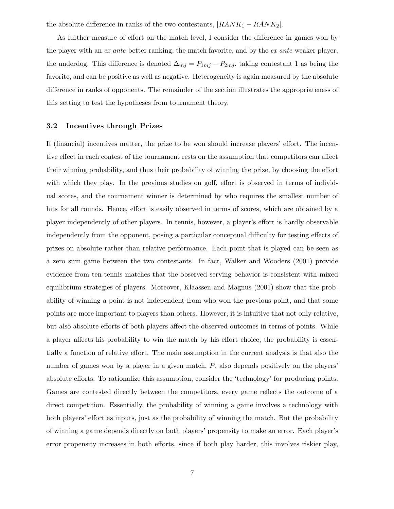the absolute difference in ranks of the two contestants,  $|RANK_1 - RANK_2|$ .

As further measure of effort on the match level, I consider the difference in games won by the player with an *ex ante* better ranking, the match favorite, and by the *ex ante* weaker player, the underdog. This difference is denoted  $\Delta_{mj} = P_{1mj} - P_{2mj}$ , taking contestant 1 as being the favorite, and can be positive as well as negative. Heterogeneity is again measured by the absolute difference in ranks of opponents. The remainder of the section illustrates the appropriateness of this setting to test the hypotheses from tournament theory.

#### **3.2 Incentives through Prizes**

If (financial) incentives matter, the prize to be won should increase players' effort. The incentive effect in each contest of the tournament rests on the assumption that competitors can affect their winning probability, and thus their probability of winning the prize, by choosing the effort with which they play. In the previous studies on golf, effort is observed in terms of individual scores, and the tournament winner is determined by who requires the smallest number of hits for all rounds. Hence, effort is easily observed in terms of scores, which are obtained by a player independently of other players. In tennis, however, a player's effort is hardly observable independently from the opponent, posing a particular conceptual difficulty for testing effects of prizes on absolute rather than relative performance. Each point that is played can be seen as a zero sum game between the two contestants. In fact, Walker and Wooders (2001) provide evidence from ten tennis matches that the observed serving behavior is consistent with mixed equilibrium strategies of players. Moreover, Klaassen and Magnus (2001) show that the probability of winning a point is not independent from who won the previous point, and that some points are more important to players than others. However, it is intuitive that not only relative, but also absolute efforts of both players affect the observed outcomes in terms of points. While a player affects his probability to win the match by his effort choice, the probability is essentially a function of relative effort. The main assumption in the current analysis is that also the number of games won by a player in a given match, P, also depends positively on the players' absolute efforts. To rationalize this assumption, consider the 'technology' for producing points. Games are contested directly between the competitors, every game reflects the outcome of a direct competition. Essentially, the probability of winning a game involves a technology with both players' effort as inputs, just as the probability of winning the match. But the probability of winning a game depends directly on both players' propensity to make an error. Each player's error propensity increases in both efforts, since if both play harder, this involves riskier play,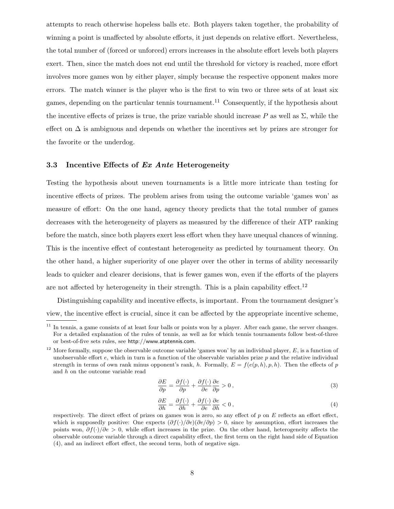attempts to reach otherwise hopeless balls etc. Both players taken together, the probability of winning a point is unaffected by absolute efforts, it just depends on relative effort. Nevertheless, the total number of (forced or unforced) errors increases in the absolute effort levels both players exert. Then, since the match does not end until the threshold for victory is reached, more effort involves more games won by either player, simply because the respective opponent makes more errors. The match winner is the player who is the first to win two or three sets of at least six games, depending on the particular tennis tournament.<sup>11</sup> Consequently, if the hypothesis about the incentive effects of prizes is true, the prize variable should increase P as well as  $\Sigma$ , while the effect on  $\Delta$  is ambiguous and depends on whether the incentives set by prizes are stronger for the favorite or the underdog.

#### **3.3 Incentive Effects of** *Ex Ante* **Heterogeneity**

Testing the hypothesis about uneven tournaments is a little more intricate than testing for incentive effects of prizes. The problem arises from using the outcome variable 'games won' as measure of effort: On the one hand, agency theory predicts that the total number of games decreases with the heterogeneity of players as measured by the difference of their ATP ranking before the match, since both players exert less effort when they have unequal chances of winning. This is the incentive effect of contestant heterogeneity as predicted by tournament theory. On the other hand, a higher superiority of one player over the other in terms of ability necessarily leads to quicker and clearer decisions, that is fewer games won, even if the efforts of the players are not affected by heterogeneity in their strength. This is a plain capability effect.<sup>12</sup>

Distinguishing capability and incentive effects, is important. From the tournament designer's view, the incentive effect is crucial, since it can be affected by the appropriate incentive scheme,

$$
\frac{\partial E}{\partial p} = \frac{\partial f(\cdot)}{\partial p} + \frac{\partial f(\cdot)}{\partial e} \frac{\partial e}{\partial p} > 0,
$$
\n(3)

$$
\frac{\partial E}{\partial h} = \frac{\partial f(\cdot)}{\partial h} + \frac{\partial f(\cdot)}{\partial e} \frac{\partial e}{\partial h} < 0 \,, \tag{4}
$$

<sup>&</sup>lt;sup>11</sup> In tennis, a game consists of at least four balls or points won by a player. After each game, the server changes. For a detailed explanation of the rules of tennis, as well as for which tennis tournaments follow best-of-three or best-of-five sets rules, see http://www.atptennis.com.

<sup>&</sup>lt;sup>12</sup> More formally, suppose the observable outcome variable 'games won' by an individual player,  $E$ , is a function of unobservable effort  $e$ , which in turn is a function of the observable variables prize  $p$  and the relative individual strength in terms of own rank minus opponent's rank, h. Formally,  $E = f(e(p, h), p, h)$ . Then the effects of p and h on the outcome variable read

respectively. The direct effect of prizes on games won is zero, so any effect of  $p$  on  $E$  reflects an effort effect, which is supposedly positive: One expects  $(\partial f(\cdot)/\partial e)(\partial e/\partial p) > 0$ , since by assumption, effort increases the points won, ∂f(*·*)/∂e > 0, while effort increases in the prize. On the other hand, heterogeneity affects the observable outcome variable through a direct capability effect, the first term on the right hand side of Equation (4), and an indirect effort effect, the second term, both of negative sign.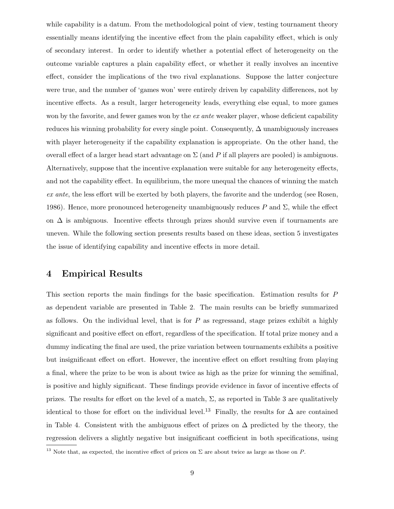while capability is a datum. From the methodological point of view, testing tournament theory essentially means identifying the incentive effect from the plain capability effect, which is only of secondary interest. In order to identify whether a potential effect of heterogeneity on the outcome variable captures a plain capability effect, or whether it really involves an incentive effect, consider the implications of the two rival explanations. Suppose the latter conjecture were true, and the number of 'games won' were entirely driven by capability differences, not by incentive effects. As a result, larger heterogeneity leads, everything else equal, to more games won by the favorite, and fewer games won by the *ex ante* weaker player, whose deficient capability reduces his winning probability for every single point. Consequently,  $\Delta$  unambiguously increases with player heterogeneity if the capability explanation is appropriate. On the other hand, the overall effect of a larger head start advantage on  $\Sigma$  (and P if all players are pooled) is ambiguous. Alternatively, suppose that the incentive explanation were suitable for any heterogeneity effects, and not the capability effect. In equilibrium, the more unequal the chances of winning the match *ex ante*, the less effort will be exerted by both players, the favorite and the underdog (see Rosen, 1986). Hence, more pronounced heterogeneity unambiguously reduces P and  $\Sigma$ , while the effect on  $\Delta$  is ambiguous. Incentive effects through prizes should survive even if tournaments are uneven. While the following section presents results based on these ideas, section 5 investigates the issue of identifying capability and incentive effects in more detail.

#### **4 Empirical Results**

This section reports the main findings for the basic specification. Estimation results for P as dependent variable are presented in Table 2. The main results can be briefly summarized as follows. On the individual level, that is for  $P$  as regressand, stage prizes exhibit a highly significant and positive effect on effort, regardless of the specification. If total prize money and a dummy indicating the final are used, the prize variation between tournaments exhibits a positive but insignificant effect on effort. However, the incentive effect on effort resulting from playing a final, where the prize to be won is about twice as high as the prize for winning the semifinal, is positive and highly significant. These findings provide evidence in favor of incentive effects of prizes. The results for effort on the level of a match,  $\Sigma$ , as reported in Table 3 are qualitatively identical to those for effort on the individual level.<sup>13</sup> Finally, the results for  $\Delta$  are contained in Table 4. Consistent with the ambiguous effect of prizes on  $\Delta$  predicted by the theory, the regression delivers a slightly negative but insignificant coefficient in both specifications, using

<sup>&</sup>lt;sup>13</sup> Note that, as expected, the incentive effect of prices on  $\Sigma$  are about twice as large as those on P.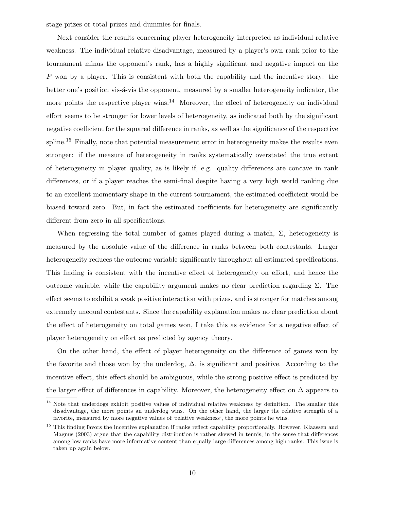stage prizes or total prizes and dummies for finals.

Next consider the results concerning player heterogeneity interpreted as individual relative weakness. The individual relative disadvantage, measured by a player's own rank prior to the tournament minus the opponent's rank, has a highly significant and negative impact on the P won by a player. This is consistent with both the capability and the incentive story: the better one's position vis- $\acute{a}$ -vis the opponent, measured by a smaller heterogeneity indicator, the more points the respective player wins.<sup>14</sup> Moreover, the effect of heterogeneity on individual effort seems to be stronger for lower levels of heterogeneity, as indicated both by the significant negative coefficient for the squared difference in ranks, as well as the significance of the respective spline.<sup>15</sup> Finally, note that potential measurement error in heterogeneity makes the results even stronger: if the measure of heterogeneity in ranks systematically overstated the true extent of heterogeneity in player quality, as is likely if, e.g. quality differences are concave in rank differences, or if a player reaches the semi-final despite having a very high world ranking due to an excellent momentary shape in the current tournament, the estimated coefficient would be biased toward zero. But, in fact the estimated coefficients for heterogeneity are significantly different from zero in all specifications.

When regressing the total number of games played during a match,  $\Sigma$ , heterogeneity is measured by the absolute value of the difference in ranks between both contestants. Larger heterogeneity reduces the outcome variable significantly throughout all estimated specifications. This finding is consistent with the incentive effect of heterogeneity on effort, and hence the outcome variable, while the capability argument makes no clear prediction regarding Σ. The effect seems to exhibit a weak positive interaction with prizes, and is stronger for matches among extremely unequal contestants. Since the capability explanation makes no clear prediction about the effect of heterogeneity on total games won, I take this as evidence for a negative effect of player heterogeneity on effort as predicted by agency theory.

On the other hand, the effect of player heterogeneity on the difference of games won by the favorite and those won by the underdog,  $\Delta$ , is significant and positive. According to the incentive effect, this effect should be ambiguous, while the strong positive effect is predicted by the larger effect of differences in capability. Moreover, the heterogeneity effect on  $\Delta$  appears to

 $14$  Note that underdogs exhibit positive values of individual relative weakness by definition. The smaller this disadvantage, the more points an underdog wins. On the other hand, the larger the relative strength of a favorite, measured by more negative values of 'relative weakness', the more points he wins.

<sup>&</sup>lt;sup>15</sup> This finding favors the incentive explanation if ranks reflect capability proportionally. However, Klaassen and Magnus (2003) argue that the capability distribution is rather skewed in tennis, in the sense that differences among low ranks have more informative content than equally large differences among high ranks. This issue is taken up again below.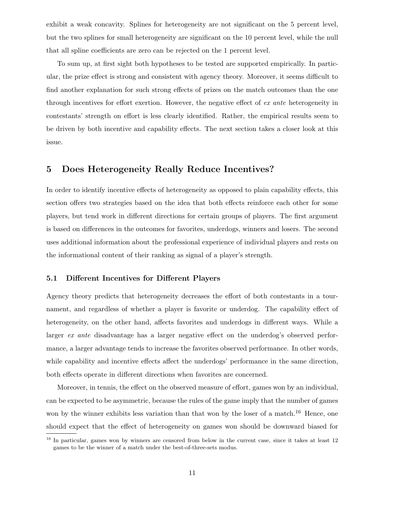exhibit a weak concavity. Splines for heterogeneity are not significant on the 5 percent level, but the two splines for small heterogeneity are significant on the 10 percent level, while the null that all spline coefficients are zero can be rejected on the 1 percent level.

To sum up, at first sight both hypotheses to be tested are supported empirically. In particular, the prize effect is strong and consistent with agency theory. Moreover, it seems difficult to find another explanation for such strong effects of prizes on the match outcomes than the one through incentives for effort exertion. However, the negative effect of *ex ante* heterogeneity in contestants' strength on effort is less clearly identified. Rather, the empirical results seem to be driven by both incentive and capability effects. The next section takes a closer look at this issue.

### **5 Does Heterogeneity Really Reduce Incentives?**

In order to identify incentive effects of heterogeneity as opposed to plain capability effects, this section offers two strategies based on the idea that both effects reinforce each other for some players, but tend work in different directions for certain groups of players. The first argument is based on differences in the outcomes for favorites, underdogs, winners and losers. The second uses additional information about the professional experience of individual players and rests on the informational content of their ranking as signal of a player's strength.

#### **5.1 Different Incentives for Different Players**

Agency theory predicts that heterogeneity decreases the effort of both contestants in a tournament, and regardless of whether a player is favorite or underdog. The capability effect of heterogeneity, on the other hand, affects favorites and underdogs in different ways. While a larger *ex ante* disadvantage has a larger negative effect on the underdog's observed performance, a larger advantage tends to increase the favorites observed performance. In other words, while capability and incentive effects affect the underdogs' performance in the same direction, both effects operate in different directions when favorites are concerned.

Moreover, in tennis, the effect on the observed measure of effort, games won by an individual, can be expected to be asymmetric, because the rules of the game imply that the number of games won by the winner exhibits less variation than that won by the loser of a match.<sup>16</sup> Hence, one should expect that the effect of heterogeneity on games won should be downward biased for

<sup>&</sup>lt;sup>16</sup> In particular, games won by winners are censored from below in the current case, since it takes at least 12 games to be the winner of a match under the best-of-three-sets modus.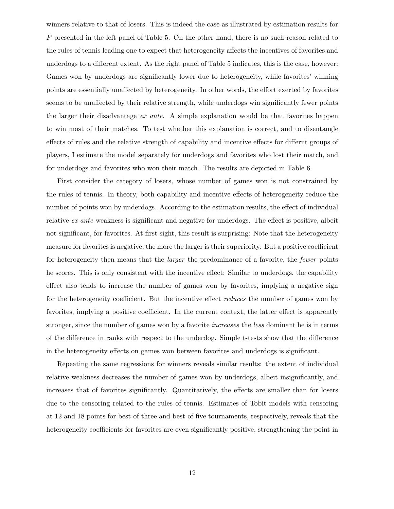winners relative to that of losers. This is indeed the case as illustrated by estimation results for P presented in the left panel of Table 5. On the other hand, there is no such reason related to the rules of tennis leading one to expect that heterogeneity affects the incentives of favorites and underdogs to a different extent. As the right panel of Table 5 indicates, this is the case, however: Games won by underdogs are significantly lower due to heterogeneity, while favorites' winning points are essentially unaffected by heterogeneity. In other words, the effort exerted by favorites seems to be unaffected by their relative strength, while underdogs win significantly fewer points the larger their disadvantage *ex ante*. A simple explanation would be that favorites happen to win most of their matches. To test whether this explanation is correct, and to disentangle effects of rules and the relative strength of capability and incentive effects for differnt groups of players, I estimate the model separately for underdogs and favorites who lost their match, and for underdogs and favorites who won their match. The results are depicted in Table 6.

First consider the category of losers, whose number of games won is not constrained by the rules of tennis. In theory, both capability and incentive effects of heterogeneity reduce the number of points won by underdogs. According to the estimation results, the effect of individual relative *ex ante* weakness is significant and negative for underdogs. The effect is positive, albeit not significant, for favorites. At first sight, this result is surprising: Note that the heterogeneity measure for favorites is negative, the more the larger is their superiority. But a positive coefficient for heterogeneity then means that the *larger* the predominance of a favorite, the *fewer* points he scores. This is only consistent with the incentive effect: Similar to underdogs, the capability effect also tends to increase the number of games won by favorites, implying a negative sign for the heterogeneity coefficient. But the incentive effect *reduces* the number of games won by favorites, implying a positive coefficient. In the current context, the latter effect is apparently stronger, since the number of games won by a favorite *increases* the *less* dominant he is in terms of the difference in ranks with respect to the underdog. Simple t-tests show that the difference in the heterogeneity effects on games won between favorites and underdogs is significant.

Repeating the same regressions for winners reveals similar results: the extent of individual relative weakness decreases the number of games won by underdogs, albeit insignificantly, and increases that of favorites significantly. Quantitatively, the effects are smaller than for losers due to the censoring related to the rules of tennis. Estimates of Tobit models with censoring at 12 and 18 points for best-of-three and best-of-five tournaments, respectively, reveals that the heterogeneity coefficients for favorites are even significantly positive, strengthening the point in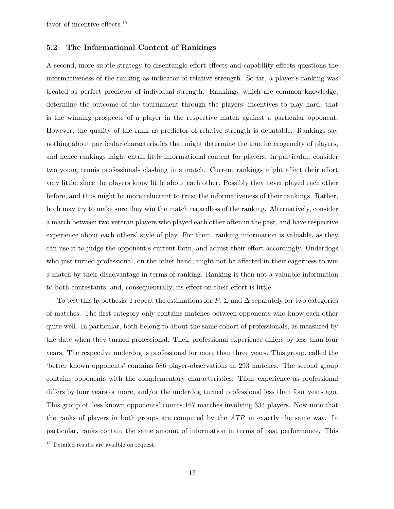favor of incentive effects.<sup>17</sup>

#### **5.2 The Informational Content of Rankings**

A second, more subtle strategy to disentangle effort effects and capability effects questions the informativeness of the ranking as indicator of relative strength. So far, a player's ranking was treated as perfect predictor of individual strength. Rankings, which are common knowledge, determine the outcome of the tournament through the players' incentives to play hard, that is the winning prospects of a player in the respective match against a particular opponent. However, the quality of the rank as predictor of relative strength is debatable. Rankings say nothing about particular characteristics that might determine the true heterogeneity of players, and hence rankings might entail little informational content for players. In particular, consider two young tennis professionals clashing in a match. Current rankings might affect their effort very little, since the players know little about each other. Possibly they never played each other before, and thus might be more reluctant to trust the informativeness of their rankings. Rather, both may try to make sure they win the match regardless of the ranking. Alternatively, consider a match between two veteran players who played each other often in the past, and have respective experience about each others' style of play. For them, ranking information is valuable, as they can use it to judge the opponent's current form, and adjust their effort accordingly. Underdogs who just turned professional, on the other hand, might not be affected in their eagerness to win a match by their disadvantage in terms of ranking. Ranking is then not a valuable information to both contestants, and, consequentially, its effect on their effort is little.

To test this hypothesis, I repeat the estimations for  $P$ ,  $\Sigma$  and  $\Delta$  separately for two categories of matches. The first category only contains matches between opponents who know each other quite well. In particular, both belong to about the same cohort of professionals, as measured by the date when they turned professional. Their professional experience differs by less than four years. The respective underdog is professional for more than three years. This group, called the 'better known opponents' contains 586 player-observations in 293 matches. The second group contains opponents with the complementary characteristics: Their experience as professional differs by four years or more, and/or the underdog turned professional less than four years ago. This group of 'less known opponents' counts 167 matches involving 334 players. Now note that the ranks of players in both groups are computed by the *ATP* in exactly the same way. In particular, ranks contain the same amount of information in terms of past performance. This

<sup>&</sup>lt;sup>17</sup> Detailed results are availble on request.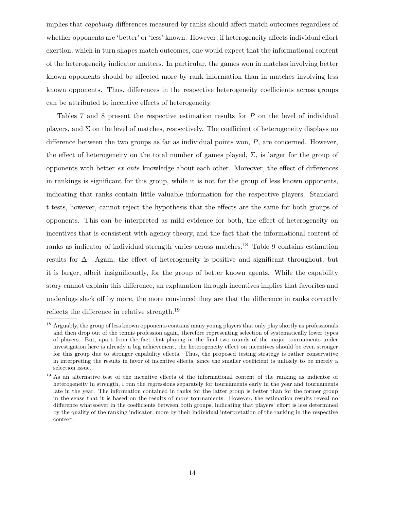implies that *capability* differences measured by ranks should affect match outcomes regardless of whether opponents are 'better' or 'less' known. However, if heterogeneity affects individual effort exertion, which in turn shapes match outcomes, one would expect that the informational content of the heterogeneity indicator matters. In particular, the games won in matches involving better known opponents should be affected more by rank information than in matches involving less known opponents. Thus, differences in the respective heterogeneity coefficients across groups can be attributed to incentive effects of heterogeneity.

Tables 7 and 8 present the respective estimation results for P on the level of individual players, and  $\Sigma$  on the level of matches, respectively. The coefficient of heterogeneity displays no difference between the two groups as far as individual points won,  $P$ , are concerned. However, the effect of heterogeneity on the total number of games played,  $\Sigma$ , is larger for the group of opponents with better *ex ante* knowledge about each other. Moreover, the effect of differences in rankings is significant for this group, while it is not for the group of less known opponents, indicating that ranks contain little valuable information for the respective players. Standard t-tests, however, cannot reject the hypothesis that the effects are the same for both groups of opponents. This can be interpreted as mild evidence for both, the effect of heterogeneity on incentives that is consistent with agency theory, and the fact that the informational content of ranks as indicator of individual strength varies across matches.<sup>18</sup> Table 9 contains estimation results for ∆. Again, the effect of heterogeneity is positive and significant throughout, but it is larger, albeit insignificantly, for the group of better known agents. While the capability story cannot explain this difference, an explanation through incentives implies that favorites and underdogs slack off by more, the more convinced they are that the difference in ranks correctly reflects the difference in relative strength.<sup>19</sup>

<sup>&</sup>lt;sup>18</sup> Arguably, the group of less known opponents contains many young players that only play shortly as professionals and then drop out of the tennis profession again, therefore representing selection of systematically lower types of players. But, apart from the fact that playing in the final two rounds of the major tournaments under investigation here is already a big achievement, the heterogeneity effect on incentives should be even stronger for this group due to stronger capability effects. Thus, the proposed testing strategy is rather conservative in interpreting the results in favor of incentive effects, since the smaller coefficient is unlikely to be merely a selection issue.

<sup>&</sup>lt;sup>19</sup> As an alternative test of the incentive effects of the informational content of the ranking as indicator of heterogeneity in strength, I run the regressions separately for tournaments early in the year and tournaments late in the year. The information contained in ranks for the latter group is better than for the former group in the sense that it is based on the results of more tournaments. However, the estimation results reveal no difference whatsoever in the coefficients between both groups, indicating that players' effort is less determined by the quality of the ranking indicator, more by their individual interpretation of the ranking in the respective context.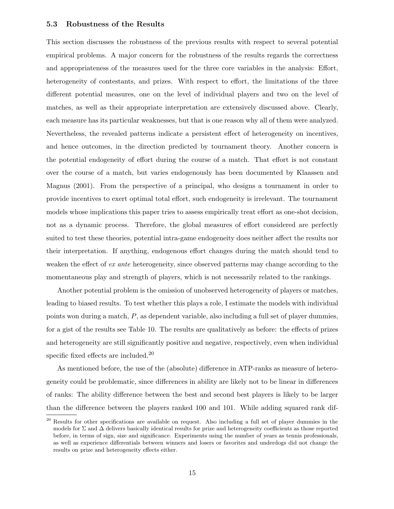#### **5.3 Robustness of the Results**

This section discusses the robustness of the previous results with respect to several potential empirical problems. A major concern for the robustness of the results regards the correctness and appropriateness of the measures used for the three core variables in the analysis: Effort, heterogeneity of contestants, and prizes. With respect to effort, the limitations of the three different potential measures, one on the level of individual players and two on the level of matches, as well as their appropriate interpretation are extensively discussed above. Clearly, each measure has its particular weaknesses, but that is one reason why all of them were analyzed. Nevertheless, the revealed patterns indicate a persistent effect of heterogeneity on incentives, and hence outcomes, in the direction predicted by tournament theory. Another concern is the potential endogeneity of effort during the course of a match. That effort is not constant over the course of a match, but varies endogenously has been documented by Klaassen and Magnus (2001). From the perspective of a principal, who designs a tournament in order to provide incentives to exert optimal total effort, such endogeneity is irrelevant. The tournament models whose implications this paper tries to assess empirically treat effort as one-shot decision, not as a dynamic process. Therefore, the global measures of effort considered are perfectly suited to test these theories, potential intra-game endogeneity does neither affect the results nor their interpretation. If anything, endogenous effort changes during the match should tend to weaken the effect of *ex ante* heterogeneity, since observed patterns may change according to the momentaneous play and strength of players, which is not necessarily related to the rankings.

Another potential problem is the omission of unobserved heterogeneity of players or matches, leading to biased results. To test whether this plays a role, I estimate the models with individual points won during a match, P, as dependent variable, also including a full set of player dummies, for a gist of the results see Table 10. The results are qualitatively as before: the effects of prizes and heterogeneity are still significantly positive and negative, respectively, even when individual specific fixed effects are included.<sup>20</sup>

As mentioned before, the use of the (absolute) difference in ATP-ranks as measure of heterogeneity could be problematic, since differences in ability are likely not to be linear in differences of ranks: The ability difference between the best and second best players is likely to be larger than the difference between the players ranked 100 and 101. While adding squared rank dif-

<sup>&</sup>lt;sup>20</sup> Results for other specifications are available on request. Also including a full set of player dummies in the models for  $\Sigma$  and  $\Delta$  delivers basically identical results for prize and heterogeneity coefficients as those reported before, in terms of sign, size and significance. Experiments using the number of years as tennis professionals, as well as experience differentials between winners and losers or favorites and underdogs did not change the results on prize and heterogeneity effects either.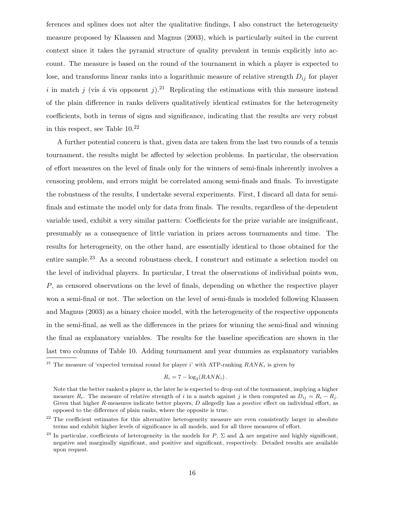ferences and splines does not alter the qualitative findings, I also construct the heterogeneity measure proposed by Klaassen and Magnus (2003), which is particularly suited in the current context since it takes the pyramid structure of quality prevalent in tennis explicitly into account. The measure is based on the round of the tournament in which a player is expected to lose, and transforms linear ranks into a logarithmic measure of relative strength D*ij* for player i in match j (vis a vis opponent j).<sup>21</sup> Replicating the estimations with this measure instead of the plain difference in ranks delivers qualitatively identical estimates for the heterogeneity coefficients, both in terms of signs and significance, indicating that the results are very robust in this respect, see Table  $10^{22}$ 

A further potential concern is that, given data are taken from the last two rounds of a tennis tournament, the results might be affected by selection problems. In particular, the observation of effort measures on the level of finals only for the winners of semi-finals inherently involves a censoring problem, and errors might be correlated among semi-finals and finals. To investigate the robustness of the results, I undertake several experiments. First, I discard all data for semifinals and estimate the model only for data from finals. The results, regardless of the dependent variable used, exhibit a very similar pattern: Coefficients for the prize variable are insignificant, presumably as a consequence of little variation in prizes across tournaments and time. The results for heterogeneity, on the other hand, are essentially identical to those obtained for the entire sample.<sup>23</sup> As a second robustness check, I construct and estimate a selection model on the level of individual players. In particular, I treat the observations of individual points won, P, as censored observations on the level of finals, depending on whether the respective player won a semi-final or not. The selection on the level of semi-finals is modeled following Klaassen and Magnus (2003) as a binary choice model, with the heterogeneity of the respective opponents in the semi-final, as well as the differences in the prizes for winning the semi-final and winning the final as explanatory variables. The results for the baseline specification are shown in the last two columns of Table 10. Adding tournament and year dummies as explanatory variables

$$
R_i = 7 - \log_2(RANK_i).
$$

<sup>&</sup>lt;sup>21</sup> The measure of 'expected terminal round for player i' with ATP-ranking  $RANK_i$  is given by

Note that the better ranked a player is, the later he is expected to drop out of the tournament, implying a higher measure  $R_i$ . The measure of relative strength of i in a match against j is then computed as  $D_{ij} = R_i - R_j$ . Given that higher R-measures indicate better players, D allegedly has a *positive* effect on individual effort, as opposed to the difference of plain ranks, where the opposite is true.

<sup>&</sup>lt;sup>22</sup> The coefficient estimates for this alternative heterogeneity measure are even consistently larger in absolute terms and exhibit higher levels of significance in all models, and for all three measures of effort.

<sup>&</sup>lt;sup>23</sup> In particular, coefficients of heterogeneity in the models for P,  $\Sigma$  and  $\Delta$  are negative and highly significant, negative and marginally significant, and positive and significant, respectively. Detailed results are available upon request.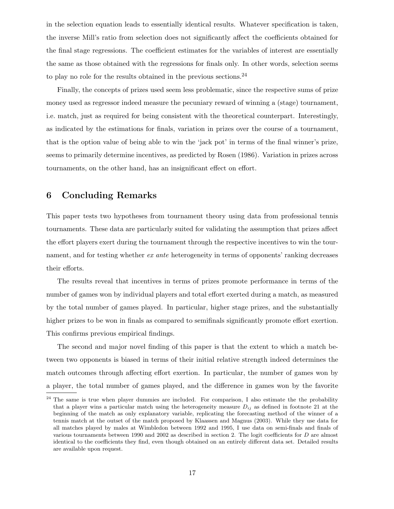in the selection equation leads to essentially identical results. Whatever specification is taken, the inverse Mill's ratio from selection does not significantly affect the coefficients obtained for the final stage regressions. The coefficient estimates for the variables of interest are essentially the same as those obtained with the regressions for finals only. In other words, selection seems to play no role for the results obtained in the previous sections.  $24$ 

Finally, the concepts of prizes used seem less problematic, since the respective sums of prize money used as regressor indeed measure the pecuniary reward of winning a (stage) tournament, i.e. match, just as required for being consistent with the theoretical counterpart. Interestingly, as indicated by the estimations for finals, variation in prizes over the course of a tournament, that is the option value of being able to win the 'jack pot' in terms of the final winner's prize, seems to primarily determine incentives, as predicted by Rosen (1986). Variation in prizes across tournaments, on the other hand, has an insignificant effect on effort.

#### **6 Concluding Remarks**

This paper tests two hypotheses from tournament theory using data from professional tennis tournaments. These data are particularly suited for validating the assumption that prizes affect the effort players exert during the tournament through the respective incentives to win the tournament, and for testing whether *ex ante* heterogeneity in terms of opponents' ranking decreases their efforts.

The results reveal that incentives in terms of prizes promote performance in terms of the number of games won by individual players and total effort exerted during a match, as measured by the total number of games played. In particular, higher stage prizes, and the substantially higher prizes to be won in finals as compared to semifinals significantly promote effort exertion. This confirms previous empirical findings.

The second and major novel finding of this paper is that the extent to which a match between two opponents is biased in terms of their initial relative strength indeed determines the match outcomes through affecting effort exertion. In particular, the number of games won by a player, the total number of games played, and the difference in games won by the favorite

<sup>&</sup>lt;sup>24</sup> The same is true when player dummies are included. For comparison, I also estimate the the probability that a player wins a particular match using the heterogeneity measure  $D_{ij}$  as defined in footnote 21 at the beginning of the match as only explanatory variable, replicating the forecasting method of the winner of a tennis match at the outset of the match proposed by Klaassen and Magnus (2003). While they use data for all matches played by males at Wimbledon between 1992 and 1995, I use data on semi-finals and finals of various tournaments between 1990 and 2002 as described in section 2. The logit coefficients for D are almost identical to the coefficients they find, even though obtained on an entirely different data set. Detailed results are available upon request.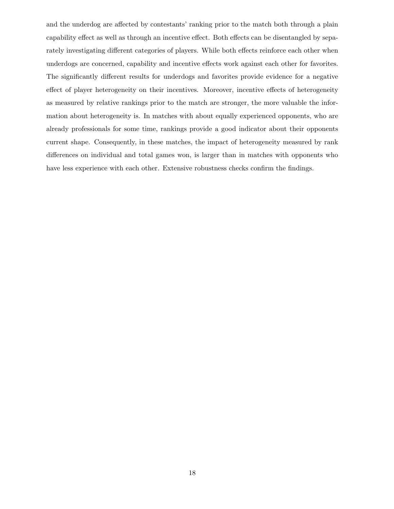and the underdog are affected by contestants' ranking prior to the match both through a plain capability effect as well as through an incentive effect. Both effects can be disentangled by separately investigating different categories of players. While both effects reinforce each other when underdogs are concerned, capability and incentive effects work against each other for favorites. The significantly different results for underdogs and favorites provide evidence for a negative effect of player heterogeneity on their incentives. Moreover, incentive effects of heterogeneity as measured by relative rankings prior to the match are stronger, the more valuable the information about heterogeneity is. In matches with about equally experienced opponents, who are already professionals for some time, rankings provide a good indicator about their opponents current shape. Consequently, in these matches, the impact of heterogeneity measured by rank differences on individual and total games won, is larger than in matches with opponents who have less experience with each other. Extensive robustness checks confirm the findings.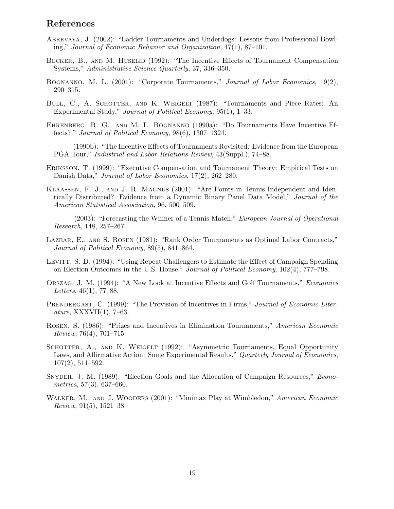## **References**

- Abrevaya, J. (2002): "Ladder Tournaments and Underdogs: Lessons from Professional Bowling," *Journal of Economic Behavior and Organization*, 47(1), 87–101.
- BECKER, B., AND M. HUSELID (1992): "The Incentive Effects of Tournament Compensation Systems," *Administrative Science Quarterly*, 37, 336–350.
- Bognanno, M. L. (2001): "Corporate Tournaments," *Journal of Labor Economics*, 19(2), 290–315.
- BULL, C., A. SCHOTTER, AND K. WEIGELT (1987): "Tournaments and Piece Rates: An Experimental Study," *Journal of Political Economy*, 95(1), 1–33.
- Ehrenberg, R. G., and M. L. Bognanno (1990a): "Do Tournaments Have Incentive Effects?," *Journal of Political Economy*, 98(6), 1307–1324.

(1990b): "The Incentive Effects of Tournaments Revisited: Evidence from the European PGA Tour," *Industrial and Labor Relations Review*, 43(Suppl.), 74–88.

- Eriksson, T. (1999): "Executive Compensation and Tournament Theory: Empirical Tests on Danish Data," *Journal of Labor Economics*, 17(2), 262–280.
- Klaassen, F. J., and J. R. Magnus (2001): "Are Points in Tennis Independent and Identically Distributed? Evidence from a Dynamic Binary Panel Data Model," *Journal of the American Statistical Association*, 96, 500–509.
	- (2003): "Forecasting the Winner of a Tennis Match," *European Journal of Operational Research*, 148, 257–267.
- Lazear, E., and S. Rosen (1981): "Rank Order Tournaments as Optimal Labor Contracts," *Journal of Political Economy*, 89(5), 841–864.
- LEVITT, S. D. (1994): "Using Repeat Challengers to Estimate the Effect of Campaign Spending on Election Outcomes in the U.S. House," *Journal of Political Economy*, 102(4), 777–798.
- Orszag, J. M. (1994): "A New Look at Incentive Effects and Golf Tournaments," *Economics Letters*, 46(1), 77–88.
- PRENDERGAST, C. (1999): "The Provision of Incentives in Firms," *Journal of Economic Literature*, XXXVII(1), 7–63.
- Rosen, S. (1986): "Prizes and Incentives in Elimination Tournaments," *American Economic Review*, 76(4), 701–715.
- SCHOTTER, A., AND K. WEIGELT (1992): "Asymmetric Tournaments, Equal Opportunity Laws, and Affirmative Action: Some Experimental Results," *Quarterly Journal of Economics*, 107(2), 511–592.
- Snyder, J. M. (1989): "Election Goals and the Allocation of Campaign Resources," *Econometrica*, 57(3), 637–660.
- Walker, M., and J. Wooders (2001): "Minimax Play at Wimbledon," *American Economic Review*, 91(5), 1521–38.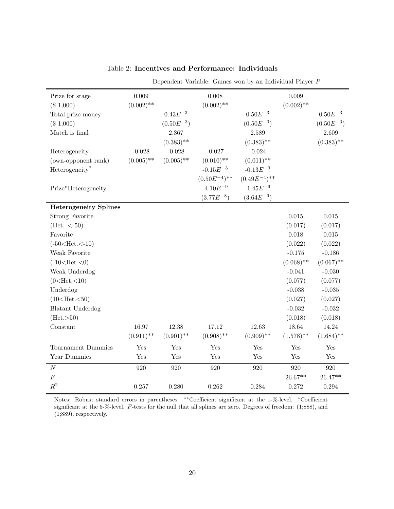|                                                                                                                                                                                                                                                                                     |                                                   |                                                                                     | Dependent Variable: Games won by an Individual Player $P$                                                             |                                                                                                                                            |                                                                                                                                                                      |                                                                                                                                                                          |
|-------------------------------------------------------------------------------------------------------------------------------------------------------------------------------------------------------------------------------------------------------------------------------------|---------------------------------------------------|-------------------------------------------------------------------------------------|-----------------------------------------------------------------------------------------------------------------------|--------------------------------------------------------------------------------------------------------------------------------------------|----------------------------------------------------------------------------------------------------------------------------------------------------------------------|--------------------------------------------------------------------------------------------------------------------------------------------------------------------------|
| Prize for stage<br>(\$1,000)<br>Total prize money<br>$(\$1,000)$<br>Match is final<br>Heterogeneity<br>(own-opponent rank)<br>Heterogeneity <sup>2</sup><br>Prize*Heterogeneity                                                                                                     | 0.009<br>$(0.002)$ **<br>$-0.028$<br>$(0.005)$ ** | $0.43E^{-3}$<br>$(0.50E^{-3})$<br>2.367<br>$(0.383)$ **<br>$-0.028$<br>$(0.005)$ ** | 0.008<br>$(0.002)$ **<br>$-0.027$<br>$(0.010)$ **<br>$\textnormal{-}0.15E^{-3}$<br>$(0.50E^{-4})$ **<br>$-4.10E^{-9}$ | $0.50E^{-3}$<br>$(0.50E^{-3})$<br>2.589<br>$(0.383)$ **<br>$-0.024$<br>$(0.011)$ **<br>$-0.13E^{-3}$<br>$(0.49E^{-4})$ **<br>$-1.45E^{-9}$ | 0.009<br>$(0.002)$ **                                                                                                                                                | $0.50E^{-3}$<br>$(0.50E^{-3})$<br>2.609<br>$(0.383)$ **                                                                                                                  |
|                                                                                                                                                                                                                                                                                     |                                                   |                                                                                     | $(3.77E^{-8})$                                                                                                        | $(3.64E^{-9})$                                                                                                                             |                                                                                                                                                                      |                                                                                                                                                                          |
| <b>Heterogeneity Splines</b><br><b>Strong Favorite</b><br>(Het. $<-50$ )<br>Favorite<br>$(-50 < Het. < -10)$<br>Weak Favorite<br>$(-10<$ Het. $<$ 0)<br>Weak Underdog<br>$(0<$ Het. $<$ 10)<br>Underdog<br>$(10<$ Het. $<$ 50)<br><b>Blatant Underdog</b><br>(Het. >50)<br>Constant | 16.97<br>$(0.911)$ **                             | 12.38<br>$(0.901)$ **                                                               | 17.12<br>$(0.908)$ **                                                                                                 | 12.63<br>$(0.909)$ **                                                                                                                      | $\,0.015\,$<br>(0.017)<br>0.018<br>(0.022)<br>$-0.175$<br>$(0.068)$ **<br>$-0.041$<br>(0.077)<br>$-0.038$<br>(0.027)<br>$-0.032$<br>(0.018)<br>18.64<br>$(1.578)$ ** | $\,0.015\,$<br>(0.017)<br>$0.015\,$<br>(0.022)<br>$-0.186$<br>$(0.067)$ **<br>$-0.030$<br>(0.077)<br>$-0.035$<br>(0.027)<br>$-0.032$<br>(0.018)<br>14.24<br>$(1.684)$ ** |
| Tournament Dummies                                                                                                                                                                                                                                                                  | Yes                                               | Yes                                                                                 | Yes                                                                                                                   | Yes                                                                                                                                        | Yes                                                                                                                                                                  | Yes                                                                                                                                                                      |
| Year Dummies                                                                                                                                                                                                                                                                        | Yes                                               | Yes                                                                                 | Yes                                                                                                                   | Yes                                                                                                                                        | Yes                                                                                                                                                                  | Yes                                                                                                                                                                      |
| $\cal N$<br>$\cal F$                                                                                                                                                                                                                                                                | 920                                               | 920                                                                                 | 920                                                                                                                   | 920                                                                                                                                        | 920<br>$26.67**$                                                                                                                                                     | $\boldsymbol{920}$<br>$26.47**$                                                                                                                                          |
| $\mathbb{R}^2$                                                                                                                                                                                                                                                                      | 0.257                                             | 0.280                                                                               | 0.262                                                                                                                 | 0.284                                                                                                                                      | 0.272                                                                                                                                                                | 0.294                                                                                                                                                                    |

Table 2: **Incentives and Performance: Individuals**

Notes: Robust standard errors in parentheses. ∗∗Coefficient significant at the 1-%-level. <sup>∗</sup>Coefficient significant at the 5-%-level. F-tests for the null that all splines are zero. Degrees of freedom: (1;888), and (1;889), respectively.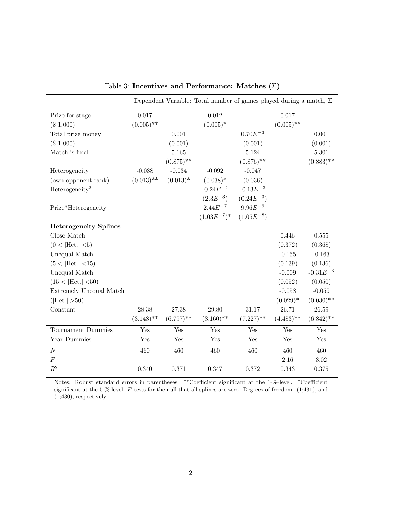|                              |              |              | Dependent Variable: Total number of games played during a match, $\Sigma$ |                |              |               |
|------------------------------|--------------|--------------|---------------------------------------------------------------------------|----------------|--------------|---------------|
| Prize for stage              | 0.017        |              | 0.012                                                                     |                | 0.017        |               |
| $(\$1,000)$                  | $(0.005)$ ** |              | $(0.005)^*$                                                               |                | $(0.005)$ ** |               |
| Total prize money            |              | 0.001        |                                                                           | $0.70E^{-3}$   |              | 0.001         |
| $(\$1,000)$                  |              | (0.001)      |                                                                           | (0.001)        |              | (0.001)       |
| Match is final               |              | 5.165        |                                                                           | 5.124          |              | 5.301         |
|                              |              | $(0.875)$ ** |                                                                           | $(0.876)$ **   |              | $(0.883)$ **  |
| Heterogeneity                | $-0.038$     | $-0.034$     | $-0.092$                                                                  | $-0.047$       |              |               |
| (own-opponent rank)          | $(0.013)$ ** | $(0.013)^*$  | $(0.038)*$                                                                | (0.036)        |              |               |
| Heterogeneity <sup>2</sup>   |              |              | $-0.24E^{-4}$                                                             | $-0.13E^{-3}$  |              |               |
|                              |              |              | $(2.3E^{-3})$                                                             | $(0.24E^{-3})$ |              |               |
| Prize*Heterogeneity          |              |              | $2.44E^{-7}$                                                              | $9.96E^{-9}$   |              |               |
|                              |              |              | $(1.03E^{-7})^*$                                                          | $(1.05E^{-8})$ |              |               |
| <b>Heterogeneity Splines</b> |              |              |                                                                           |                |              |               |
| Close Match                  |              |              |                                                                           |                | 0.446        | $0.555\,$     |
| (0 <  Het.  <5)              |              |              |                                                                           |                | (0.372)      | (0.368)       |
| Unequal Match                |              |              |                                                                           |                | $-0.155$     | $-0.163$      |
| (5 <  Het. <15)              |              |              |                                                                           |                | (0.139)      | (0.136)       |
| Unequal Match                |              |              |                                                                           |                | $-0.009$     | $-0.31E^{-3}$ |
| (15 <  Het. <50)             |              |              |                                                                           |                | (0.052)      | (0.050)       |
| Extremely Unequal Match      |              |              |                                                                           |                | $-0.058$     | $-0.059$      |
| $( \text{Het.} >50)$         |              |              |                                                                           |                | $(0.029)^*$  | $(0.030)$ **  |
| Constant                     | 28.38        | 27.38        | 29.80                                                                     | 31.17          | 26.71        | $26.59\,$     |
|                              | $(3.148)$ ** | $(6.797)$ ** | $(3.160)$ **                                                              | $(7.227)$ **   | $(4.483)$ ** | $(6.842)$ **  |
| Tournament Dummies           | Yes          | Yes          | Yes                                                                       | Yes            | Yes          | Yes           |
| Year Dummies                 | Yes          | Yes          | Yes                                                                       | Yes            | Yes          | Yes           |
| $\cal N$                     | 460          | 460          | 460                                                                       | 460            | 460          | 460           |
| $\boldsymbol{F}$             |              |              |                                                                           |                | 2.16         | 3.02          |
| $\mathbb{R}^2$               | 0.340        | 0.371        | 0.347                                                                     | 0.372          | 0.343        | 0.375         |

Table 3: **Incentives and Performance: Matches (**Σ**)**

Notes: Robust standard errors in parentheses. ∗∗Coefficient significant at the 1-%-level. <sup>∗</sup>Coefficient significant at the 5-%-level. F-tests for the null that all splines are zero. Degrees of freedom: (1;431), and (1;430), respectively.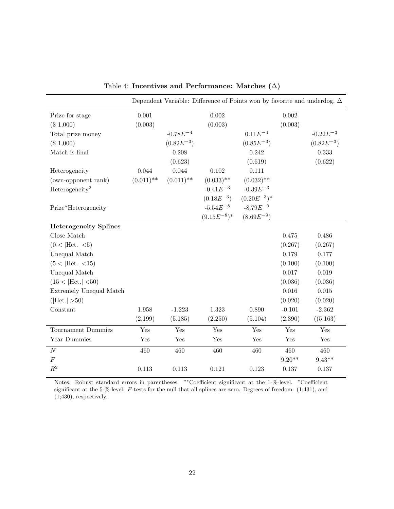|                              |              |                | Dependent Variable: Difference of Points won by favorite and underdog, $\Delta$ |                  |          |                |
|------------------------------|--------------|----------------|---------------------------------------------------------------------------------|------------------|----------|----------------|
| Prize for stage              | 0.001        |                | 0.002                                                                           |                  | 0.002    |                |
| $(\$1,000)$                  | (0.003)      |                | (0.003)                                                                         |                  | (0.003)  |                |
| Total prize money            |              | $-0.78E^{-4}$  |                                                                                 | $0.11E^{-4}$     |          | $-0.22E^{-3}$  |
| (\$1,000)                    |              | $(0.82E^{-3})$ |                                                                                 | $(0.85E^{-3})$   |          | $(0.82E^{-3})$ |
| Match is final               |              | 0.208          |                                                                                 | 0.242            |          | 0.333          |
|                              |              | (0.623)        |                                                                                 | (0.619)          |          | (0.622)        |
| Heterogeneity                | 0.044        | 0.044          | 0.102                                                                           | 0.111            |          |                |
| (own-opponent rank)          | $(0.011)$ ** | $(0.011)$ **   | $(0.033)$ **                                                                    | $(0.032)$ **     |          |                |
| Heterogeneity <sup>2</sup>   |              |                | $-0.41E^{-3}$                                                                   | $-0.39E^{-3}$    |          |                |
|                              |              |                | $(0.18E^{-3})$                                                                  | $(0.20E^{-3})^*$ |          |                |
| Prize*Heterogeneity          |              |                | $-5.54E^{-8}$                                                                   | $-8.79E^{-9}$    |          |                |
|                              |              |                | $(9.15E^{-8})^*$                                                                | $(8.69E^{-9})$   |          |                |
| <b>Heterogeneity Splines</b> |              |                |                                                                                 |                  |          |                |
| Close Match                  |              |                |                                                                                 |                  | 0.475    | 0.486          |
| (0 <  Het.  <5)              |              |                |                                                                                 |                  | (0.267)  | (0.267)        |
| Unequal Match                |              |                |                                                                                 |                  | 0.179    | $0.177\,$      |
| (5 <  Het. <15)              |              |                |                                                                                 |                  | (0.100)  | (0.100)        |
| Unequal Match                |              |                |                                                                                 |                  | 0.017    | 0.019          |
| (15 <  Het.  <50)            |              |                |                                                                                 |                  | (0.036)  | (0.036)        |
| Extremely Unequal Match      |              |                |                                                                                 |                  | 0.016    | 0.015          |
| $( \text{Het.} >50)$         |              |                |                                                                                 |                  | (0.020)  | (0.020)        |
| Constant                     | 1.958        | $-1.223$       | 1.323                                                                           | 0.890            | $-0.101$ | $-2.362$       |
|                              | (2.199)      | (5.185)        | (2.250)                                                                         | (5.104)          | (2.390)  | ((5.163)       |
| Tournament Dummies           | Yes          | Yes            | Yes                                                                             | Yes              | Yes      | Yes            |
| Year Dummies                 | Yes          | Yes            | Yes                                                                             | Yes              | Yes      | Yes            |
| $\cal N$                     | 460          | 460            | 460                                                                             | 460              | 460      | 460            |
| $\boldsymbol{F}$             |              |                |                                                                                 |                  | $9.20**$ | $9.43**$       |
| $\mathbb{R}^2$               | 0.113        | 0.113          | 0.121                                                                           | 0.123            | 0.137    | 0.137          |

Table 4: **Incentives and Performance: Matches (**∆**)**

Notes: Robust standard errors in parentheses. ∗∗Coefficient significant at the 1-%-level. <sup>∗</sup>Coefficient significant at the 5-%-level. F-tests for the null that all splines are zero. Degrees of freedom: (1;431), and (1;430), respectively.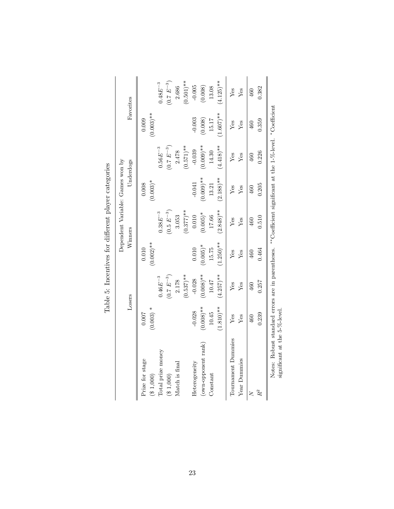|                                                                                                                                             |                      |                  |                       |                | Dependent Variable: Games won by |                 |                       |                  |
|---------------------------------------------------------------------------------------------------------------------------------------------|----------------------|------------------|-----------------------|----------------|----------------------------------|-----------------|-----------------------|------------------|
|                                                                                                                                             |                      | Losers           |                       | Winners        |                                  | Underdogs       |                       | Favorites        |
| Prize for stage<br>(31,000)                                                                                                                 | $(0.003) *$<br>0.007 |                  | $(0.002)$ **<br>0.010 |                | $(0.003)*$<br>0.008              |                 | $(0.003)$ **<br>0.009 |                  |
| Total prize money                                                                                                                           |                      | $0.46E^{-3}$     |                       | $0.38E^{-3}$   |                                  | $0.56E^{-3}$    |                       | $0.48E^{-3}$     |
| (31,000)                                                                                                                                    |                      | $(0.7 \ E^{-3})$ |                       | $(0.5~E^{-3})$ |                                  | $(0.7\ E^{-3})$ |                       | $(0.7 \ E^{-3})$ |
| Match is final                                                                                                                              |                      | 2.178            |                       | 3.053          |                                  | 2.478           |                       | 2.686            |
|                                                                                                                                             |                      | $(0.537)$ **     |                       | $(0.377)**$    |                                  | $(0.571)$ **    |                       | $(0.501)$ **     |
| Heterogeneity                                                                                                                               | $-0.028$             | $-0.028$         | 0.010                 | 0.010          | $-0.041$                         | $-0.039$        | $-0.003$              | $-0.005$         |
| (own-opponent rank)                                                                                                                         | $(0.008)$ **         | $(0.008)$ **     | $(0.005)*$            | $(0.005)$ *    | $(0.009)$ **                     | $(0.009)$ **    | (0.008)               | (0.008)          |
| Constant                                                                                                                                    | 10.45                | 10.47            | 15.75                 | 17.66          | 13.21                            | 14.30           | 15.17                 | 13.08            |
|                                                                                                                                             | $(1.810)**$          | $(4.257)$ **     | $(1.250)$ **          | $(2.848)$ **   | $(2.188)$ **                     | $(4.418)$ **    | $(1.607)$ **          | $(4.125)$ **     |
| Tournament Dummies                                                                                                                          | Yes                  | Yes              | Yes                   | Yes            | Yes                              | Yes             | Yes                   | Yes              |
| Year Dummies                                                                                                                                | Yes                  | Yes              | $Y$ es                | Yes            | Yes                              | Yes             | Yes                   | Yes              |
| $\geq$                                                                                                                                      | 460                  | 460              | 460                   | 460            | 460                              | 460             | 460                   | 460              |
| $R^2$                                                                                                                                       | 0.239                | 0.257            | 0.464                 | 0.510          | 0.205                            | 0.226           | 0.359                 | 0.382            |
| Notes: Robust standard errors are in parentheses. **Coefficient significant at the 1-%-level. *Coefficient<br>significant at the 5-%-level. |                      |                  |                       |                |                                  |                 |                       |                  |

Table 5: Incentives for different player categories Table 5: Incentives for different player categories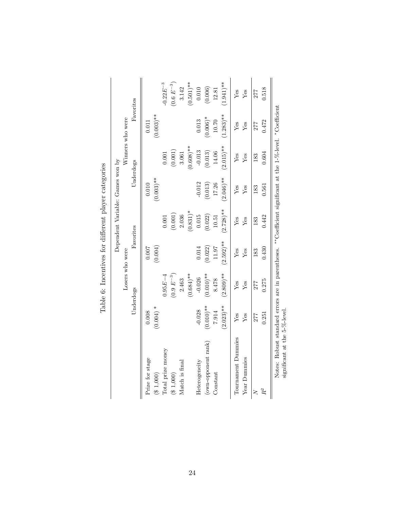|                                                                                                                                             |              |                  |             |              | Dependent Variable: Games won by |              |                  |                       |
|---------------------------------------------------------------------------------------------------------------------------------------------|--------------|------------------|-------------|--------------|----------------------------------|--------------|------------------|-----------------------|
|                                                                                                                                             |              | Losers who were  |             |              |                                  |              | Winners who were |                       |
|                                                                                                                                             |              | Underdogs        | Favorites   |              |                                  | Underdogs    |                  | Favorites             |
| Prize for stage                                                                                                                             | 0.008        |                  | 0.007       |              | 0.010                            |              | 0.011            |                       |
| ( \$ 1,000)                                                                                                                                 | $(0.004) *$  |                  | (0.004)     |              | $(0.003)$ **                     |              | $(0.003)$ **     |                       |
| Total prize money                                                                                                                           |              | $0.95E - 4$      |             | 0.001        |                                  | 0.001        |                  | $-0.22E^{-3}$         |
| ( \$ 1,000)                                                                                                                                 |              | $(0.9 \ E^{-3})$ |             | (0.001)      |                                  | (0.001)      |                  | $(0.6 \ E^{-3})$      |
| Match is final                                                                                                                              |              | 2.463            |             | 2.036        |                                  | 3.061        |                  | 3.142                 |
|                                                                                                                                             |              | $(0.684)$ **     |             | $(0.831)^*$  |                                  | $(0.608)$ ** |                  | $(0.501)$ **          |
| Heterogeneity                                                                                                                               | $-0.028$     | $-0.026$         | 0.014       | 0.015        | $-0.012$                         | $-0.013$     | 0.013            | 0.010                 |
| (own-opponent rank)                                                                                                                         | $(0.010)$ ** | $(0.010)$ **     | (0.022)     | (0.022)      | (0.013)                          | (0.013)      | $(0.006)^*$      | (0.006)               |
| $Constant$                                                                                                                                  | 7.914        | 8.478            | $11.97\,$   | 10.51        | 17.26                            | 14.06        | 10.70            | 12.81                 |
|                                                                                                                                             | $(2.023)**$  | $(2.809)$ **     | $(2.592)**$ | $(2.728)$ ** | $(2.046)$ **                     | $(2.015)$ ** | $(1.283)$ **     | $1.941$ <sup>**</sup> |
| Tournament Dummies                                                                                                                          | $Y$ es       | Yes              | $Y$ es      | Yes          | Yes                              | Yes          | $Y$ es           | $Y$ es                |
| Year Dummies                                                                                                                                | $Y$ es       | Yes              | Yes         | $Y$ es       | Yes                              | Yes          | $Y$ es           | Yes                   |
| $\geq$                                                                                                                                      | 277          | 277              | 183         | 183          | 183                              | 183          | 277              | 277                   |
| $R^2$                                                                                                                                       | 0.251        | 0.275            | 0.430       | 0.442        | 0.561                            | 0.604        | 0.472            | 0.518                 |
| Notes: Robust standard errors are in parentheses. **Coefficient significant at the 1-%-level. *Coefficient<br>significant at the 5-%-level. |              |                  |             |              |                                  |              |                  |                       |

Table 6: Incentives for different player categories Table 6: Incentives for different player categories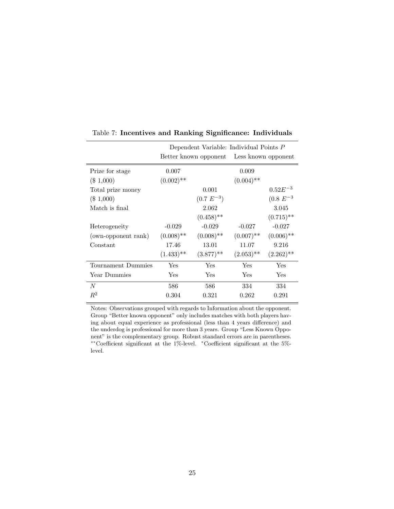|                     |              | Dependent Variable: Individual Points P   |              |               |
|---------------------|--------------|-------------------------------------------|--------------|---------------|
|                     |              | Better known opponent Less known opponent |              |               |
| Prize for stage     | 0.007        |                                           | 0.009        |               |
| $(\$1,000)$         | $(0.002)$ ** |                                           | $(0.004)$ ** |               |
| Total prize money   |              | 0.001                                     |              | $0.52E^{-3}$  |
| $(\$1,000)$         |              | $(0.7 \ E^{-3})$                          |              | $(0.8 E^{-3}$ |
| Match is final      |              | 2.062                                     |              | 3.045         |
|                     |              | $(0.458)$ **                              |              | $(0.715)$ **  |
| Heterogeneity       | $-0.029$     | $-0.029$                                  | $-0.027$     | $-0.027$      |
| (own-opponent rank) | $(0.008)$ ** | $(0.008)$ **                              | $(0.007)$ ** | $(0.006)$ **  |
| Constant            | 17.46        | 13.01                                     | 11.07        | 9.216         |
|                     | $(1.433)$ ** | $(3.877)$ **                              | $(2.053)$ ** | $(2.262)$ **  |
| Tournament Dummies  | Yes          | Yes                                       | Yes          | Yes           |
| Year Dummies        | Yes          | Yes                                       | Yes          | Yes           |
| N                   | 586          | 586                                       | 334          | 334           |
| $R^2$               | 0.304        | 0.321                                     | 0.262        | 0.291         |

Table 7: **Incentives and Ranking Significance: Individuals**

Notes: Observations grouped with regards to Information about the opponent. Group "Better known opponent" only includes matches with both players having about equal experience as professional (less than 4 years difference) and the underdog is professional for more than 3 years. Group "Less Known Opponent" is the complementary group. Robust standard errors are in parentheses. ∗∗Coefficient significant at the 1%-level. <sup>∗</sup>Coefficient significant at the 5% level.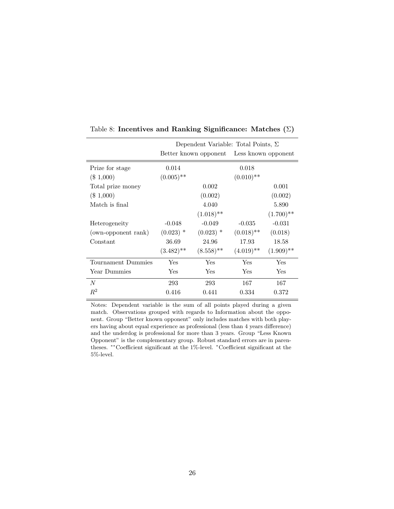|                     |              | Dependent Variable: Total Points, $\Sigma$ |                     |              |
|---------------------|--------------|--------------------------------------------|---------------------|--------------|
|                     |              | Better known opponent                      | Less known opponent |              |
| Prize for stage     | 0.014        |                                            | 0.018               |              |
| $(\$1,000)$         | $(0.005)$ ** |                                            | $(0.010)$ **        |              |
| Total prize money   |              | 0.002                                      |                     | 0.001        |
| $(\$1,000)$         |              | (0.002)                                    |                     | (0.002)      |
| Match is final      |              | 4.040                                      |                     | 5.890        |
|                     |              | $(1.018)$ **                               |                     | $(1.700)$ ** |
| Heterogeneity       | $-0.048$     | $-0.049$                                   | $-0.035$            | $-0.031$     |
| (own-opponent rank) | $(0.023)$ *  | $(0.023)$ *                                | $(0.018)$ **        | (0.018)      |
| Constant            | 36.69        | 24.96                                      | 17.93               | 18.58        |
|                     | $(3.482)$ ** | $(8.558)$ **                               | $(4.019)$ **        | $(1.909)$ ** |
| Tournament Dummies  | Yes          | Yes                                        | <b>Yes</b>          | Yes          |
| Year Dummies        | Yes          | Yes                                        | Yes                 | Yes          |
| N                   | 293          | 293                                        | 167                 | 167          |
| $R^2$               | 0.416        | 0.441                                      | 0.334               | 0.372        |

Table 8: **Incentives and Ranking Significance: Matches (**Σ**)**

Notes: Dependent variable is the sum of all points played during a given match. Observations grouped with regards to Information about the opponent. Group "Better known opponent" only includes matches with both players having about equal experience as professional (less than 4 years difference) and the underdog is professional for more than 3 years. Group "Less Known Opponent" is the complementary group. Robust standard errors are in parentheses. ∗∗Coefficient significant at the 1%-level. <sup>∗</sup>Coefficient significant at the 5%-level.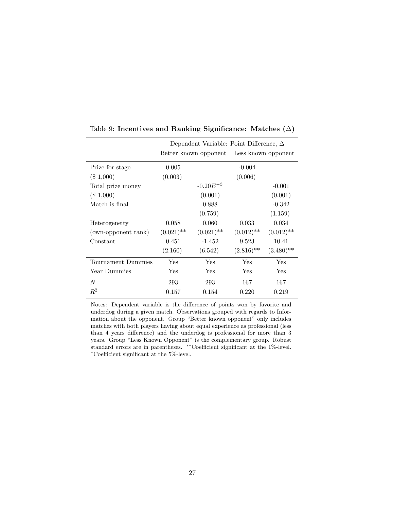|                     |              | Dependent Variable: Point Difference, $\Delta$ |              |                     |
|---------------------|--------------|------------------------------------------------|--------------|---------------------|
|                     |              | Better known opponent                          |              | Less known opponent |
| Prize for stage     | 0.005        |                                                | $-0.004$     |                     |
| $(\$1,000)$         | (0.003)      |                                                | (0.006)      |                     |
| Total prize money   |              | $-0.20E^{-3}$                                  |              | $-0.001$            |
| $(\$1,000)$         |              | (0.001)                                        |              | (0.001)             |
| Match is final      |              | 0.888                                          |              | $-0.342$            |
|                     |              | (0.759)                                        |              | (1.159)             |
| Heterogeneity       | 0.058        | 0.060                                          | 0.033        | 0.034               |
| (own-opponent rank) | $(0.021)$ ** | $(0.021)$ **                                   | $(0.012)$ ** | $(0.012)$ **        |
| Constant            | 0.451        | $-1.452$                                       | 9.523        | 10.41               |
|                     | (2.160)      | (6.542)                                        | $(2.816)$ ** | $(3.480)$ **        |
| Tournament Dummies  | Yes          | Yes                                            | Yes          | Yes                 |
| Year Dummies        | Yes          | Yes                                            | Yes          | Yes                 |
| N                   | 293          | 293                                            | 167          | 167                 |
| $\mathbb{R}^2$      | 0.157        | 0.154                                          | 0.220        | 0.219               |

Table 9: **Incentives and Ranking Significance: Matches (**∆**)**

Notes: Dependent variable is the difference of points won by favorite and underdog during a given match. Observations grouped with regards to Information about the opponent. Group "Better known opponent" only includes matches with both players having about equal experience as professional (less than 4 years difference) and the underdog is professional for more than 3 years. Group "Less Known Opponent" is the complementary group. Robust standard errors are in parentheses. ∗∗Coefficient significant at the 1%-level. <sup>∗</sup>Coefficient significant at the 5%-level.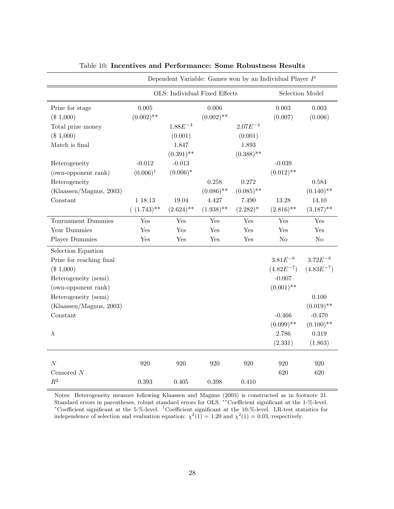|                                |                       |                               |                       |              | Dependent Variable: Games won by an Individual Player $P$ |                  |
|--------------------------------|-----------------------|-------------------------------|-----------------------|--------------|-----------------------------------------------------------|------------------|
|                                |                       | OLS: Individual Fixed Effects |                       |              |                                                           | Selection Model  |
| Prize for stage<br>$(\$1,000)$ | 0.005<br>$(0.002)$ ** |                               | 0.006<br>$(0.002)$ ** |              | 0.003<br>(0.007)                                          | 0.003<br>(0.006) |
| Total prize money              |                       | $1.88E^{-4}$                  |                       | $2.07E^{-4}$ |                                                           |                  |
| $(\$1,000)$                    |                       | (0.001)                       |                       | (0.001)      |                                                           |                  |
| Match is final                 |                       | 1.847                         |                       | 1.893        |                                                           |                  |
|                                |                       | $(0.391)$ **                  |                       | $(0.388)$ ** |                                                           |                  |
| Heterogeneity                  | $-0.012$              | $-0.013$                      |                       |              | $-0.039$                                                  |                  |
| (own-opponent rank)            | $(0.006)^1$           | $(0.006)^*$                   |                       |              | $(0.012)$ **                                              |                  |
| Heterogeneity                  |                       |                               | 0.258                 | 0.272        |                                                           | 0.584            |
| (Klaassen/Magnus, 2003)        |                       |                               | $(0.086)$ **          | $(0.085)$ ** |                                                           | $(0.140)$ **     |
| Constant                       | 1 18.13               | 19.04                         | 4.427                 | 7.490        | 13.28                                                     | 14.10            |
|                                | $( (1.743)$ **        | $(2.624)$ **                  | $(1.938)$ **          | $(2.282)^*$  | $(2.816)$ **                                              | $(3.187)$ **     |
| Tournament Dummies             | Yes                   | Yes                           | Yes                   | Yes          | Yes                                                       | Yes              |
| Year Dummies                   | Yes                   | Yes                           | Yes                   | Yes          | Yes                                                       | Yes              |
| Player Dummies                 | Yes                   | Yes                           | Yes                   | Yes          | $\rm No$                                                  | $\rm No$         |
| Selection Equation             |                       |                               |                       |              |                                                           |                  |
| Prize for reaching final       |                       |                               |                       |              | $3.81E^{-8}$                                              | $3.72E^{-8}$     |
| (\$1,000)                      |                       |                               |                       |              | $(4.82E^{-7})$                                            | $(4.83E^{-7})$   |
| Heterogeneity (semi)           |                       |                               |                       |              | $-0.007$                                                  |                  |
| (own-opponent rank)            |                       |                               |                       |              | $(0.001)$ **                                              |                  |
| Heterogeneity (semi)           |                       |                               |                       |              |                                                           | 0.100            |
| (Klaassen/Magnus, 2003)        |                       |                               |                       |              |                                                           | $(0.019)$ **     |
| Constant                       |                       |                               |                       |              | $-0.466$                                                  | $-0.470$         |
|                                |                       |                               |                       |              | $(0.099)$ **                                              | $(0.100)$ **     |
| $\lambda$                      |                       |                               |                       |              | 2.786                                                     | 0.319            |
|                                |                       |                               |                       |              | (2.331)                                                   | (1.863)          |
|                                |                       |                               |                       |              |                                                           |                  |
| $\cal N$                       | 920                   | 920                           | 920                   | 920          | 920                                                       | 920              |
| Censored $\cal N$              |                       |                               |                       |              | 620                                                       | 620              |
| $\mathbb{R}^2$                 | 0.393                 | 0.405                         | 0.398                 | 0.410        |                                                           |                  |

|  |  |  | Table 10: Incentives and Performance: Some Robustness Results |  |  |  |
|--|--|--|---------------------------------------------------------------|--|--|--|
|--|--|--|---------------------------------------------------------------|--|--|--|

Notes: Heterogeneity measure following Klaassen and Magnus (2003) is constructed as in footnote 21. Standard errors in parentheses, robust standard errors for OLS. ∗∗Coefficient significant at the 1-%-level. <sup>∗</sup>Coefficient significant at the 5-%-level. <sup>1</sup>Coefficient significant at the 10-%-level. LR-test statistics for independence of selection and evaluation equation:  $\chi^2(1) = 1.20$  and  $\chi^2(1) = 0.03$ , respectively.